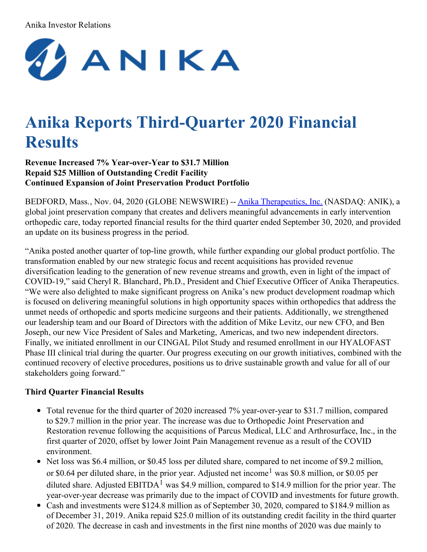## Anika Investor Relations



# **Anika Reports Third-Quarter 2020 Financial Results**

**Revenue Increased 7% Year-over-Year to \$31.7 Million Repaid \$25 Million of Outstanding Credit Facility Continued Expansion of Joint Preservation Product Portfolio**

BEDFORD, Mass., Nov. 04, 2020 (GLOBE NEWSWIRE) -- Anika [Therapeutics,](https://www.globenewswire.com/Tracker?data=MBUo3cLFg6w8FZk_ZZi7gHFyqUZUKXT3GQd8VEdhgUcEmxeoAGMptfhBN8-oFl39INzbeWGEUodGhdvDRnbvjHRe8w4wlzXjrmwwFHke__8=) Inc. (NASDAQ: ANIK), a global joint preservation company that creates and delivers meaningful advancements in early intervention orthopedic care, today reported financial results for the third quarter ended September 30, 2020, and provided an update on its business progress in the period.

"Anika posted another quarter of top-line growth, while further expanding our global product portfolio. The transformation enabled by our new strategic focus and recent acquisitions has provided revenue diversification leading to the generation of new revenue streams and growth, even in light of the impact of COVID-19," said Cheryl R. Blanchard, Ph.D., President and Chief Executive Officer of Anika Therapeutics. "We were also delighted to make significant progress on Anika's new product development roadmap which is focused on delivering meaningful solutions in high opportunity spaces within orthopedics that address the unmet needs of orthopedic and sports medicine surgeons and their patients. Additionally, we strengthened our leadership team and our Board of Directors with the addition of Mike Levitz, our new CFO, and Ben Joseph, our new Vice President of Sales and Marketing, Americas, and two new independent directors. Finally, we initiated enrollment in our CINGAL Pilot Study and resumed enrollment in our HYALOFAST Phase III clinical trial during the quarter. Our progress executing on our growth initiatives, combined with the continued recovery of elective procedures, positions us to drive sustainable growth and value for all of our stakeholders going forward."

## **Third Quarter Financial Results**

- Total revenue for the third quarter of 2020 increased 7% year-over-year to \$31.7 million, compared to \$29.7 million in the prior year. The increase was due to Orthopedic Joint Preservation and Restoration revenue following the acquisitions of Parcus Medical, LLC and Arthrosurface, Inc., in the first quarter of 2020, offset by lower Joint Pain Management revenue as a result of the COVID environment.
- Net loss was \$6.4 million, or \$0.45 loss per diluted share, compared to net income of \$9.2 million, or \$0.64 per diluted share, in the prior year. Adjusted net income<sup>1</sup> was \$0.8 million, or \$0.05 per diluted share. Adjusted EBITDA<sup>1</sup> was \$4.9 million, compared to \$14.9 million for the prior year. The year-over-year decrease was primarily due to the impact of COVID and investments for future growth.
- Cash and investments were \$124.8 million as of September 30, 2020, compared to \$184.9 million as of December 31, 2019. Anika repaid \$25.0 million of its outstanding credit facility in the third quarter of 2020. The decrease in cash and investments in the first nine months of 2020 was due mainly to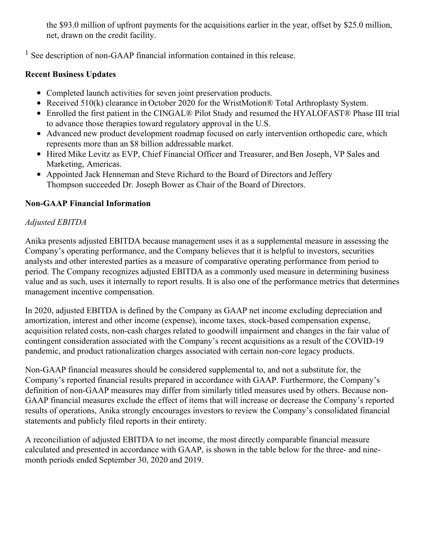the \$93.0 million of upfront payments for the acquisitions earlier in the year, offset by \$25.0 million, net, drawn on the credit facility.

<sup>1</sup> See description of non-GAAP financial information contained in this release.

## **Recent Business Updates**

- Completed launch activities for seven joint preservation products.
- Received 510(k) clearance in October 2020 for the WristMotion® Total Arthroplasty System.
- Enrolled the first patient in the CINGAL® Pilot Study and resumed the HYALOFAST® Phase III trial to advance those therapies toward regulatory approval in the U.S.
- Advanced new product development roadmap focused on early intervention orthopedic care, which represents more than an \$8 billion addressable market.
- Hired Mike Levitz as EVP, Chief Financial Officer and Treasurer, and Ben Joseph, VP Sales and Marketing, Americas.
- Appointed Jack Henneman and Steve Richard to the Board of Directors and Jeffery Thompson succeeded Dr. Joseph Bower as Chair of the Board of Directors.

## **Non-GAAP Financial Information**

## *Adjusted EBITDA*

Anika presents adjusted EBITDA because management uses it as a supplemental measure in assessing the Company's operating performance, and the Company believes that it is helpful to investors, securities analysts and other interested parties as a measure of comparative operating performance from period to period. The Company recognizes adjusted EBITDA as a commonly used measure in determining business value and as such, uses it internally to report results. It is also one of the performance metrics that determines management incentive compensation.

In 2020, adjusted EBITDA is defined by the Company as GAAP net income excluding depreciation and amortization, interest and other income (expense), income taxes, stock-based compensation expense, acquisition related costs, non-cash charges related to goodwill impairment and changes in the fair value of contingent consideration associated with the Company's recent acquisitions as a result of the COVID-19 pandemic, and product rationalization charges associated with certain non-core legacy products.

Non-GAAP financial measures should be considered supplemental to, and not a substitute for, the Company's reported financial results prepared in accordance with GAAP. Furthermore, the Company's definition of non-GAAP measures may differ from similarly titled measures used by others. Because non-GAAP financial measures exclude the effect of items that will increase or decrease the Company's reported results of operations, Anika strongly encourages investors to review the Company's consolidated financial statements and publicly filed reports in their entirety.

A reconciliation of adjusted EBITDA to net income, the most directly comparable financial measure calculated and presented in accordance with GAAP, is shown in the table below for the three- and ninemonth periods ended September 30, 2020 and 2019.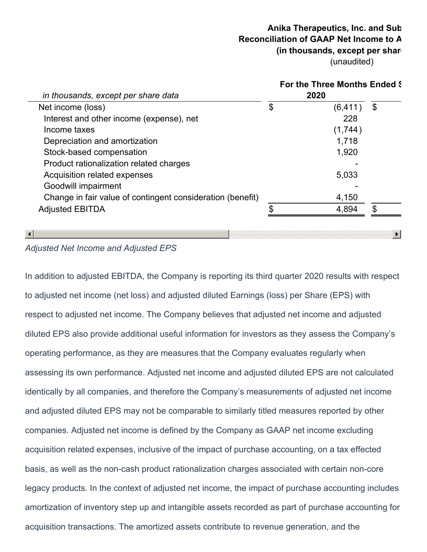## **Anika Therapeutics, Inc. and Sub Reconciliation of GAAP Net Income to A (in thousands, except per share** (unaudited)

| in thousands, except per share data                        |    | For the Three Months Ended S<br>2020 |    |
|------------------------------------------------------------|----|--------------------------------------|----|
| Net income (loss)                                          | \$ | (6, 411)                             | \$ |
| Interest and other income (expense), net                   |    | 228                                  |    |
| Income taxes                                               |    | (1,744)                              |    |
| Depreciation and amortization                              |    | 1,718                                |    |
| Stock-based compensation                                   |    | 1,920                                |    |
| Product rationalization related charges                    |    |                                      |    |
| Acquisition related expenses                               |    | 5,033                                |    |
| Goodwill impairment                                        |    |                                      |    |
| Change in fair value of contingent consideration (benefit) |    | 4,150                                |    |
| <b>Adjusted EBITDA</b>                                     | ¢  | 4,894                                | \$ |

## *Adjusted Net Income and Adjusted EPS*

In addition to adjusted EBITDA, the Company is reporting its third quarter 2020 results with respect to adjusted net income (net loss) and adjusted diluted Earnings (loss) per Share (EPS) with respect to adjusted net income. The Company believes that adjusted net income and adjusted diluted EPS also provide additional useful information for investors as they assess the Company's operating performance, as they are measures that the Company evaluates regularly when assessing its own performance. Adjusted net income and adjusted diluted EPS are not calculated identically by all companies, and therefore the Company's measurements of adjusted net income and adjusted diluted EPS may not be comparable to similarly titled measures reported by other companies. Adjusted net income is defined by the Company as GAAP net income excluding acquisition related expenses, inclusive of the impact of purchase accounting, on a tax effected basis, as well as the non-cash product rationalization charges associated with certain non-core legacy products. In the context of adjusted net income, the impact of purchase accounting includes amortization of inventory step up and intangible assets recorded as part of purchase accounting for acquisition transactions. The amortized assets contribute to revenue generation, and the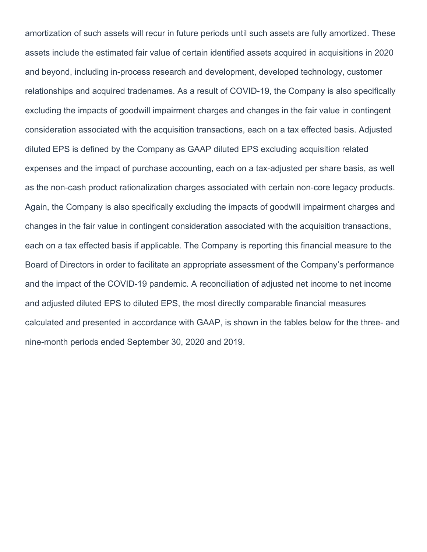amortization of such assets will recur in future periods until such assets are fully amortized. These assets include the estimated fair value of certain identified assets acquired in acquisitions in 2020 and beyond, including in-process research and development, developed technology, customer relationships and acquired tradenames. As a result of COVID-19, the Company is also specifically excluding the impacts of goodwill impairment charges and changes in the fair value in contingent consideration associated with the acquisition transactions, each on a tax effected basis. Adjusted diluted EPS is defined by the Company as GAAP diluted EPS excluding acquisition related expenses and the impact of purchase accounting, each on a tax-adjusted per share basis, as well as the non-cash product rationalization charges associated with certain non-core legacy products. Again, the Company is also specifically excluding the impacts of goodwill impairment charges and changes in the fair value in contingent consideration associated with the acquisition transactions, each on a tax effected basis if applicable. The Company is reporting this financial measure to the Board of Directors in order to facilitate an appropriate assessment of the Company's performance and the impact of the COVID-19 pandemic. A reconciliation of adjusted net income to net income and adjusted diluted EPS to diluted EPS, the most directly comparable financial measures calculated and presented in accordance with GAAP, is shown in the tables below for the three- and nine-month periods ended September 30, 2020 and 2019.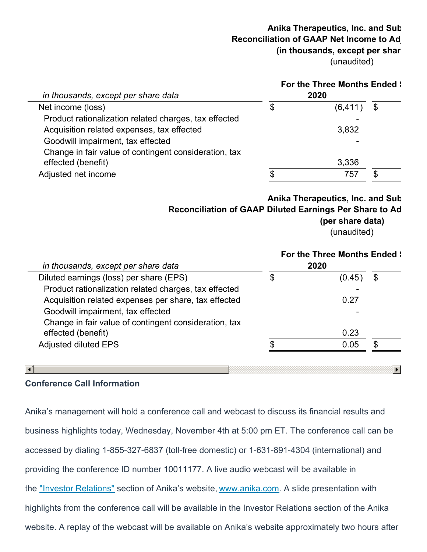## **Anika Therapeutics, Inc. and Sub Reconciliation of GAAP Net Income to Adj (in thousands, except per share** (unaudited)

|                                                       |  | <b>For the Three Months Ended \:</b> |  |
|-------------------------------------------------------|--|--------------------------------------|--|
| in thousands, except per share data                   |  | 2020                                 |  |
| Net income (loss)                                     |  | (6, 411)                             |  |
| Product rationalization related charges, tax effected |  |                                      |  |
| Acquisition related expenses, tax effected            |  | 3,832                                |  |
| Goodwill impairment, tax effected                     |  |                                      |  |
| Change in fair value of contingent consideration, tax |  |                                      |  |
| effected (benefit)                                    |  | 3,336                                |  |
| Adjusted net income                                   |  | 757                                  |  |
|                                                       |  |                                      |  |

**Anika Therapeutics, Inc. and Sub Reconciliation of GAAP Diluted Earnings Per Share to Adjusted Diluted Earnings Per Share**

**(per share data)**

 $\blacktriangleright$ 

(unaudited)

|                                                       | <b>For the Three Months Ended \</b> |    |
|-------------------------------------------------------|-------------------------------------|----|
| in thousands, except per share data                   | 2020                                |    |
| Diluted earnings (loss) per share (EPS)               | \$<br>(0.45)                        | \$ |
| Product rationalization related charges, tax effected |                                     |    |
| Acquisition related expenses per share, tax effected  | 0.27                                |    |
| Goodwill impairment, tax effected                     |                                     |    |
| Change in fair value of contingent consideration, tax |                                     |    |
| effected (benefit)                                    | 0.23                                |    |
| <b>Adjusted diluted EPS</b>                           | 0.05                                | S. |

#### $\lceil$

## **Conference Call Information**

Anika's management will hold a conference call and webcast to discuss its financial results and business highlights today, Wednesday, November 4th at 5:00 pm ET. The conference call can be accessed by dialing 1-855-327-6837 (toll-free domestic) or 1-631-891-4304 (international) and providing the conference ID number 10011177. A live audio webcast will be available in the ["](https://www.globenewswire.com/Tracker?data=L1zj00Ufng_Oq5-IfuLS-4mbwMcXQAu7cygIkgG4cRv7tIPyi4RncqnFzdSdM2M4CVOtOUvgsFFjn-9AazfJDjBteAYaMQ-OxUPv54ncvsc=)Investor [Relations](https://www.globenewswire.com/Tracker?data=Ko8ETaNKLme_Lw-prWCmCKrBaKD-cE5YfE_A3XRFw2Z00Cimh9myI6mzPGAT-hoC5NWOeNdjhJHyqdGd4rpnxDmC03v2k_437uyWDbDpSM89rKhOMY4w3RVoimSpVIEz)["](https://www.globenewswire.com/Tracker?data=nLmkreaYGXmcT-Bw2_pHps72x-VZdSFblg0voenjwMX-W9Tm3ReT1lFoPsfq_39Tm2yBacasjPqeumx82h6HQ0fXWavH4Uxooegjt_YshcM=) section of Anika's website, [www.anika.com](https://www.globenewswire.com/Tracker?data=lkq7wVD8guu9r3aqoHB6vxGtoJ75Q6VYvdpo9wED8E2qSDP1cODfRjm3umcuukQxu_oLe08nAYUO2PVaBHid-w==). A slide presentation with highlights from the conference call will be available in the Investor Relations section of the Anika website. A replay of the webcast will be available on Anika's website approximately two hours after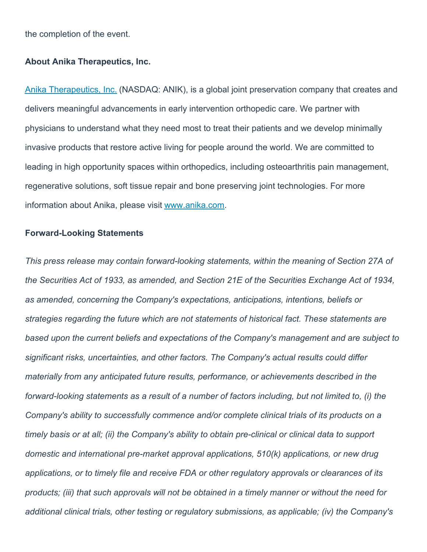the completion of the event.

#### **About Anika Therapeutics, Inc.**

Anika [Therapeutics,](https://www.globenewswire.com/Tracker?data=MBUo3cLFg6w8FZk_ZZi7gHFyqUZUKXT3GQd8VEdhgUdHVndJJf-IpSMNqpNUMN5obOO9_RqpWzkb4_PV5HxoIweLfVnffMWvx727C-06ht_TicSUTY46UYyTNA9zmeOK) Inc. (NASDAQ: ANIK), is a global joint preservation company that creates and delivers meaningful advancements in early intervention orthopedic care. We partner with physicians to understand what they need most to treat their patients and we develop minimally invasive products that restore active living for people around the world. We are committed to leading in high opportunity spaces within orthopedics, including osteoarthritis pain management, regenerative solutions, soft tissue repair and bone preserving joint technologies. For more information about Anika, please visit [www.anika.com](https://www.globenewswire.com/Tracker?data=lkq7wVD8guu9r3aqoHB6v0uB7fF0N6r0wr_LDpTc5mdqLAgiW1WYiCfjYZoS6SndcFJwOcmB6gyQwXi2sUXYhQ==).

#### **Forward-Looking Statements**

*This press release may contain forward-looking statements, within the meaning of Section 27A of the Securities Act of 1933, as amended, and Section 21E of the Securities Exchange Act of 1934, as amended, concerning the Company's expectations, anticipations, intentions, beliefs or strategies regarding the future which are not statements of historical fact. These statements are based upon the current beliefs and expectations of the Company's management and are subject to significant risks, uncertainties, and other factors. The Company's actual results could differ materially from any anticipated future results, performance, or achievements described in the forward-looking statements as a result of a number of factors including, but not limited to, (i) the Company's ability to successfully commence and/or complete clinical trials of its products on a timely basis or at all; (ii) the Company's ability to obtain pre-clinical or clinical data to support domestic and international pre-market approval applications, 510(k) applications, or new drug applications, or to timely file and receive FDA or other regulatory approvals or clearances of its* products; (iii) that such approvals will not be obtained in a timely manner or without the need for *additional clinical trials, other testing or regulatory submissions, as applicable; (iv) the Company's*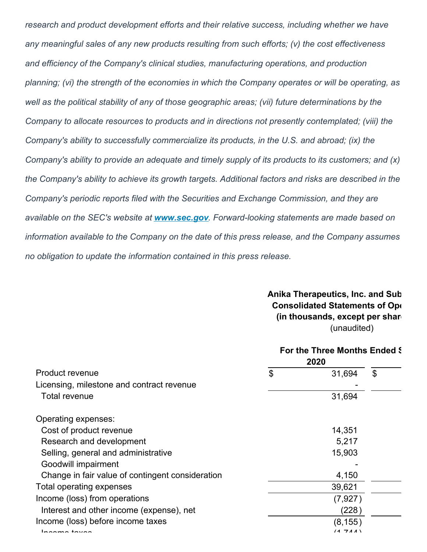*research and product development efforts and their relative success, including whether we have any meaningful sales of any new products resulting from such efforts; (v) the cost effectiveness and efficiency of the Company's clinical studies, manufacturing operations, and production planning; (vi) the strength of the economies in which the Company operates or will be operating, as well as the political stability of any of those geographic areas; (vii) future determinations by the Company to allocate resources to products and in directions not presently contemplated; (viii) the Company's ability to successfully commercialize its products, in the U.S. and abroad; (ix) the Company's ability to provide an adequate and timely supply of its products to its customers; and (x) the Company's ability to achieve its growth targets. Additional factors and risks are described in the Company's periodic reports filed with the Securities and Exchange Commission, and they are available on the SEC's website at [www.sec.gov](https://www.globenewswire.com/Tracker?data=fAxzU3TcY4puwo7Gb3QSVgssJaaMb0q_C1OKQJbDsnd_QJ_eQ3hhe-uDtzlKWuLFZuRH4oCMqyAoBB4aVeWvXQ==). Forward-looking statements are made based on information available to the Company on the date of this press release, and the Company assumes no obligation to update the information contained in this press release.*

> **Anika Therapeutics, Inc. and Sub Consolidated Statements of Operations (in thousands, except per share** (unaudited)

|                                                  |    | For the Three Months Ended & |    |
|--------------------------------------------------|----|------------------------------|----|
| Product revenue                                  | \$ | 31,694                       | \$ |
| Licensing, milestone and contract revenue        |    |                              |    |
| Total revenue                                    |    | 31,694                       |    |
| Operating expenses:                              |    |                              |    |
| Cost of product revenue                          |    | 14,351                       |    |
| Research and development                         |    | 5,217                        |    |
| Selling, general and administrative              |    | 15,903                       |    |
| Goodwill impairment                              |    |                              |    |
| Change in fair value of contingent consideration |    | 4,150                        |    |
| Total operating expenses                         |    | 39,621                       |    |
| Income (loss) from operations                    |    | (7, 927)                     |    |
| Interest and other income (expense), net         |    | (228)                        |    |
| Income (loss) before income taxes                |    | (8, 155)                     |    |
| ممنيمه ممممما                                    |    | (1711)                       |    |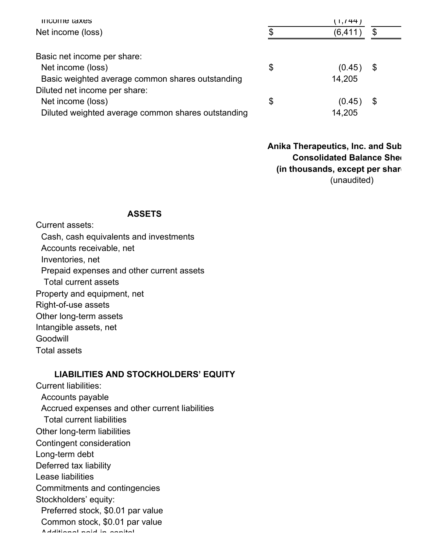| income taxes                                       | ( 1,744 )    |    |  |
|----------------------------------------------------|--------------|----|--|
| Net income (loss)                                  | (6, 411)     | \$ |  |
|                                                    |              |    |  |
| Basic net income per share:                        |              |    |  |
| Net income (loss)                                  | \$<br>(0.45) | \$ |  |
| Basic weighted average common shares outstanding   | 14,205       |    |  |
| Diluted net income per share:                      |              |    |  |
| Net income (loss)                                  | \$<br>(0.45) | \$ |  |
| Diluted weighted average common shares outstanding | 14,205       |    |  |

**Anika Therapeutics, Inc. and Sub Consolidated Balance Sheet (in thousands, except per share data)** (unaudited)

#### **ASSETS**

Current assets: Cash, cash equivalents and investments Accounts receivable, net Inventories, net Prepaid expenses and other current assets Total current assets Property and equipment, net Right-of-use assets Other long-term assets Intangible assets, net Goodwill Total assets

## **LIABILITIES AND STOCKHOLDERS' EQUITY**

Current liabilities: Accounts payable Accrued expenses and other current liabilities Total current liabilities Other long-term liabilities Contingent consideration Long-term debt Deferred tax liability Lease liabilities Commitments and contingencies Stockholders' equity: Preferred stock, \$0.01 par value Common stock, \$0.01 par value Additional paid-in-capital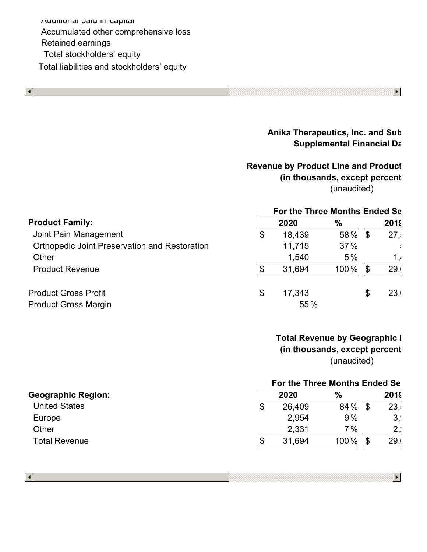Additional paid-in-capital Accumulated other comprehensive loss Retained earnings Total stockholders' equity Total liabilities and stockholders' equity



# **Anika Therapeutics, Inc. and Sub Supplemental Financial Data**

 $\blacktriangleright$ 

 $\blacktriangleright$ 

# **Revenue by Product Line and Product** (in thousands, except percent (unaudited)

|                                                      | For the Three Months Ended Se |        |         |    |             |
|------------------------------------------------------|-------------------------------|--------|---------|----|-------------|
| <b>Product Family:</b>                               |                               | 2020   | $\%$    |    | <b>2019</b> |
| Joint Pain Management                                | \$                            | 18,439 | 58% \$  |    | 27.5        |
| <b>Orthopedic Joint Preservation and Restoration</b> |                               | 11,715 | 37%     |    |             |
| Other                                                |                               | 1,540  | 5%      |    | ، 1         |
| <b>Product Revenue</b>                               |                               | 31,694 | $100\%$ | \$ | 29.1        |
| <b>Product Gross Profit</b>                          | \$                            | 17,343 |         | \$ | 23,         |
| <b>Product Gross Margin</b>                          |                               | 55%    |         |    |             |
|                                                      |                               |        |         |    |             |

# **Total Revenue by Geographic I** (in thousands, except percent (unaudited)

|                           | For the Three Months Ended Se |        |               |    |      |
|---------------------------|-------------------------------|--------|---------------|----|------|
| <b>Geographic Region:</b> |                               | 2020   | $\frac{0}{0}$ |    | 2019 |
| <b>United States</b>      | \$                            | 26,409 | 84 %          | \$ | 23.5 |
| Europe                    |                               | 2,954  | 9%            |    | 3,   |
| Other                     |                               | 2,331  | $7\%$         |    | 2.1  |
| <b>Total Revenue</b>      | \$                            | 31.694 | 100%          |    | 29,  |
|                           |                               |        |               |    |      |